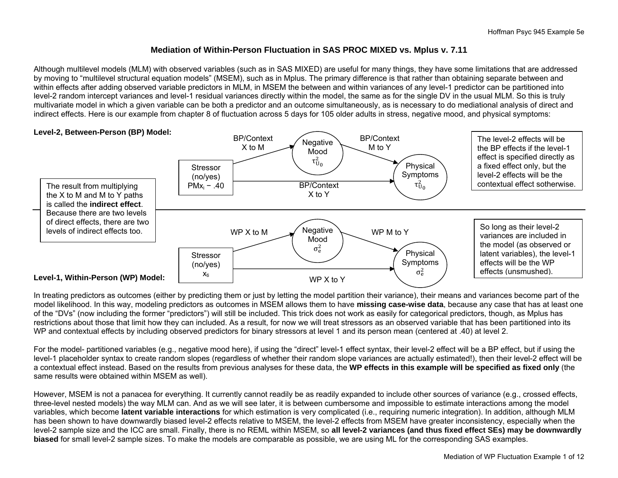# **Mediation of Within-Person Fluctuation in SAS PROC MIXED vs. Mplus v. 7.11**

Although multilevel models (MLM) with observed variables (such as in SAS MIXED) are useful for many things, they have some limitations that are addressed by moving to "multilevel structural equation models" (MSEM), such as in Mplus. The primary difference is that rather than obtaining separate between and within effects after adding observed variable predictors in MLM, in MSEM the between and within variances of any level-1 predictor can be partitioned into level-2 random intercept variances and level-1 residual variances directly within the model, the same as for the single DV in the usual MLM. So this is truly multivariate model in which a given variable can be both a predictor and an outcome simultaneously, as is necessary to do mediational analysis of direct and indirect effects. Here is our example from chapter 8 of fluctuation across 5 days for 105 older adults in stress, negative mood, and physical symptoms:



In treating predictors as outcomes (either by predicting them or just by letting the model partition their variance), their means and variances become part of the model likelihood. In this way, modeling predictors as outcomes in MSEM allows them to have **missing case-wise data**, because any case that has at least one of the "DVs" (now including the former "predictors") will still be included. This trick does not work as easily for categorical predictors, though, as Mplus has restrictions about those that limit how they can included. As a result, for now we will treat stressors as an observed variable that has been partitioned into its WP and contextual effects by including observed predictors for binary stressors at level 1 and its person mean (centered at .40) at level 2.

For the model- partitioned variables (e.g., negative mood here), if using the "direct" level-1 effect syntax, their level-2 effect will be a BP effect, but if using the level-1 placeholder syntax to create random slopes (regardless of whether their random slope variances are actually estimated!), then their level-2 effect will be a contextual effect instead. Based on the results from previous analyses for these data, the **WP effects in this example will be specified as fixed only** (the same results were obtained within MSEM as well).

However, MSEM is not a panacea for everything. It currently cannot readily be as readily expanded to include other sources of variance (e.g., crossed effects, three-level nested models) the way MLM can. And as we will see later, it is between cumbersome and impossible to estimate interactions among the model variables, which become **latent variable interactions** for which estimation is very complicated (i.e., requiring numeric integration). In addition, although MLM has been shown to have downwardly biased level-2 effects relative to MSEM, the level-2 effects from MSEM have greater inconsistency, especially when the level-2 sample size and the ICC are small. Finally, there is no REML within MSEM, so **all level-2 variances (and thus fixed effect SEs) may be downwardly biased** for small level-2 sample sizes. To make the models are comparable as possible, we are using ML for the corresponding SAS examples.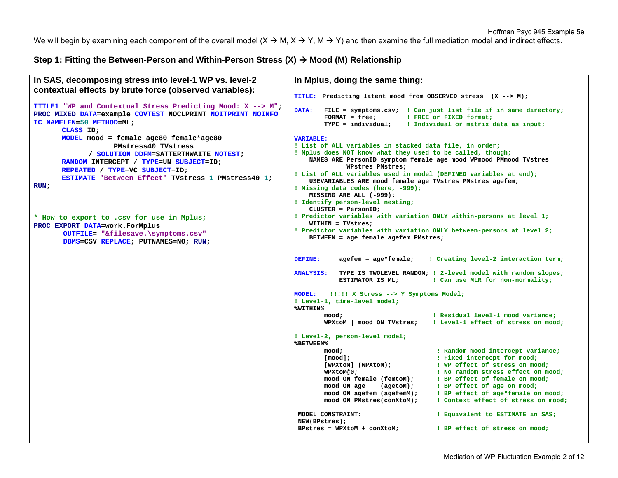We will begin by examining each component of the overall model  $(X \to M, X \to Y, M \to Y)$  and then examine the full mediation model and indirect effects.

## Step 1: Fitting the Between-Person and Within-Person Stress (X) → Mood (M) Relationship

```
In SAS, decomposing stress into level-1 WP vs. level-2 
contextual effects by brute force (observed variables): 
TITLE1 "WP and Contextual Stress Predicting Mood: X --> M"; 
PROC MIXED DATA=example COVTEST NOCLPRINT NOITPRINT NOINFO
IC NAMELEN=50 METHOD=ML; 
       CLASS ID; 
      MODEL mood = female age80 female*age80 
                    PMstress40 TVstress  / SOLUTION DDFM=SATTERTHWAITE NOTEST; 
      RANDOM INTERCEPT / TYPE=UN SUBJECT=ID; 
       REPEATED / TYPE=VC SUBJECT=ID; 
       ESTIMATE "Between Effect" TVstress 1 PMstress40 1; 
RUN; 
* How to export to .csv for use in Mplus;
PROC EXPORT DATA=work.ForMplus 
        OUTFILE= "&filesave.\symptoms.csv"
       DBMS=CSV REPLACE; PUTNAMES=NO; RUN;
                                                                 In Mplus, doing the same thing: 
                                                                 TITLE: Predicting latent mood from OBSERVED stress (X --> M); 
                                                                DATA: FILE = symptoms.csv; ! Can just list file if in same directory;
                                                                         FORMAT = free; ! FREE or FIXED format; 
                                                                         TYPE = individual; ! Individual or matrix data as input;
                                                                VARIABLE: ! List of ALL variables in stacked data file, in order; 
                                                                ! Mplus does NOT know what they used to be called, though; 
                                                                     NAMES ARE PersonID symptom female age mood WPmood PMmood TVstres 
                                                                              WPstres PMstres; 
                                                                ! List of ALL variables used in model (DEFINED variables at end); 
                                                                     USEVARIABLES ARE mood female age TVstres PMstres agefem; 
                                                                ! Missing data codes (here, -999); 
                                                                     MISSING ARE ALL (-999); 
                                                                ! Identify person-level nesting; 
                                                                     CLUSTER = PersonID; 
                                                                ! Predictor variables with variation ONLY within-persons at level 1; 
                                                                     WITHIN = TVstres; 
                                                                ! Predictor variables with variation ONLY between-persons at level 2; 
                                                                     BETWEEN = age female agefem PMstres; 
                                                                DEFINE: agefem = age*female; ! Creating level-2 interaction term;
                                                                ANALYSIS: TYPE IS TWOLEVEL RANDOM; ! 2-level model with random slopes;
                                                                             ESTIMATOR IS ML; ! Can use MLR for non-normality;
                                                                MODEL: !!!!! X Stress --> Y Symptoms Model; 
                                                                ! Level-1, time-level model; 
                                                                %WITHIN%  mood; ! Residual level-1 mood variance; 
                                                                         WPXtoM | mood ON TVstres; ! Level-1 effect of stress on mood;
                                                                 ! Level-2, person-level model; 
                                                                %BETWEEN%  mood; ! Random mood intercept variance; 
                                                                         [mood]; ! Fixed intercept for mood; 
                                                                         [WPXtoM] (WPXtoM); ! WP effect of stress on mood;
                                                                         WPXtoM@0; ! No random stress effect on mood;
                                                                         mood ON female (femtoM); ! BP effect of female on mood; 
                                                                         mood ON age (agetoM); ! BP effect of age on mood;
                                                                         mood ON agefem (agefemM); ! BP effect of age*female on mood;
                                                                         mood ON PMstres(conXtoM); ! Context effect of stress on mood;
                                                                  MODEL CONSTRAINT: ! Equivalent to ESTIMATE in SAS; 
                                                                  NEW(BPstres); 
                                                                  BPstres = WPXtoM + conXtoM; ! BP effect of stress on mood;
```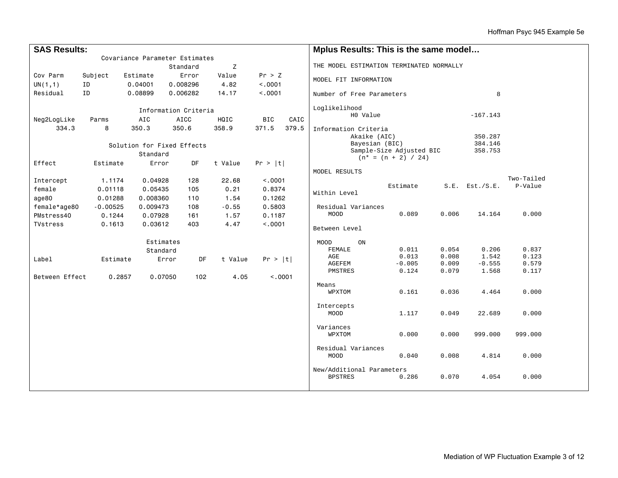| Covariance Parameter Estimates<br>THE MODEL ESTIMATION TERMINATED NORMALLY<br>Z<br>Standard<br>Pr > Z<br>Cov Parm<br>Error<br>Value<br>Subject<br>Estimate<br>MODEL FIT INFORMATION<br>ID<br>0.008296<br>4.82<br>< .0001<br>UN(1,1)<br>0.04001<br>ID<br>Residual<br>0.08899<br>0.006282<br>14.17<br>< .0001<br>8<br>Number of Free Parameters<br>Loglikelihood<br>Information Criteria<br>H0 Value<br>$-167.143$ |
|------------------------------------------------------------------------------------------------------------------------------------------------------------------------------------------------------------------------------------------------------------------------------------------------------------------------------------------------------------------------------------------------------------------|
|                                                                                                                                                                                                                                                                                                                                                                                                                  |
|                                                                                                                                                                                                                                                                                                                                                                                                                  |
|                                                                                                                                                                                                                                                                                                                                                                                                                  |
|                                                                                                                                                                                                                                                                                                                                                                                                                  |
|                                                                                                                                                                                                                                                                                                                                                                                                                  |
|                                                                                                                                                                                                                                                                                                                                                                                                                  |
| HQIC<br><b>BIC</b><br>CAIC<br>Neg2LogLike<br><b>AIC</b><br>AICC<br>Parms                                                                                                                                                                                                                                                                                                                                         |
| 358.9<br>371.5<br>379.5<br>334.3<br>8<br>350.3<br>350.6                                                                                                                                                                                                                                                                                                                                                          |
| Information Criteria<br>Akaike (AIC)<br>350.287                                                                                                                                                                                                                                                                                                                                                                  |
| Bayesian (BIC)<br>384.146                                                                                                                                                                                                                                                                                                                                                                                        |
| Solution for Fixed Effects<br>Sample-Size Adjusted BIC<br>358.753                                                                                                                                                                                                                                                                                                                                                |
| Standard<br>$(n* = (n + 2) / 24)$                                                                                                                                                                                                                                                                                                                                                                                |
| Effect<br>DF<br>t Value<br>Estimate<br>Error<br>Pr >  t                                                                                                                                                                                                                                                                                                                                                          |
| MODEL RESULTS                                                                                                                                                                                                                                                                                                                                                                                                    |
| Two-Tailed<br>Intercept<br>1.1174<br>0.04928<br>128<br>22.68<br>< .0001                                                                                                                                                                                                                                                                                                                                          |
| Estimate<br>P-Value<br>$S.E.$ Est./ $S.E.$<br>female<br>0.01118<br>0.05435<br>105<br>0.21<br>0.8374<br>Within Level                                                                                                                                                                                                                                                                                              |
| age80<br>0.01288<br>0.008360<br>110<br>1.54<br>0.1262                                                                                                                                                                                                                                                                                                                                                            |
| female*age80<br>$-0.55$<br>$-0.00525$<br>0.009473<br>108<br>0.5803<br>Residual Variances                                                                                                                                                                                                                                                                                                                         |
| 0.089<br>14.164<br>0.000<br>MOOD<br>0.006<br>PMstress40<br>0.1244<br>0.07928<br>161<br>1.57<br>0.1187                                                                                                                                                                                                                                                                                                            |
| <b>TVstress</b><br>0.1613<br>0.03612<br>403<br>4.47<br>< .0001                                                                                                                                                                                                                                                                                                                                                   |
| Between Level                                                                                                                                                                                                                                                                                                                                                                                                    |
| Estimates<br>ON<br>MOOD                                                                                                                                                                                                                                                                                                                                                                                          |
| 0.011<br>0.054<br>0.206<br>0.837<br>FEMALE<br>Standard                                                                                                                                                                                                                                                                                                                                                           |
| 0.013<br>1.542<br>0.123<br>0.008<br>AGE<br>Estimate<br>DF<br>t Value<br>Label<br>Error<br>Pr >  t                                                                                                                                                                                                                                                                                                                |
| $-0.555$<br>$-0.005$<br>0.009<br>0.579<br>AGEFEM<br>1.568                                                                                                                                                                                                                                                                                                                                                        |
| 0.124<br>0.079<br>0.117<br>PMSTRES<br>Between Effect<br>< .0001<br>0.2857<br>0.07050<br>102<br>4.05                                                                                                                                                                                                                                                                                                              |
| Means                                                                                                                                                                                                                                                                                                                                                                                                            |
| 0.000<br>0.161<br>0.036<br>4.464<br>WPXTOM                                                                                                                                                                                                                                                                                                                                                                       |
|                                                                                                                                                                                                                                                                                                                                                                                                                  |
| Intercepts<br>22.689<br>0.000                                                                                                                                                                                                                                                                                                                                                                                    |
| 1.117<br>MOOD<br>0.049                                                                                                                                                                                                                                                                                                                                                                                           |
| Variances                                                                                                                                                                                                                                                                                                                                                                                                        |
| 0.000<br>0.000<br>999.000<br>999.000<br>WPXTOM                                                                                                                                                                                                                                                                                                                                                                   |
|                                                                                                                                                                                                                                                                                                                                                                                                                  |
| Residual Variances                                                                                                                                                                                                                                                                                                                                                                                               |
| 0.040<br>0.008<br>4.814<br>0.000<br>MOOD                                                                                                                                                                                                                                                                                                                                                                         |
| New/Additional Parameters                                                                                                                                                                                                                                                                                                                                                                                        |
| 0.070<br>4.054<br>0.000<br><b>BPSTRES</b><br>0.286                                                                                                                                                                                                                                                                                                                                                               |
|                                                                                                                                                                                                                                                                                                                                                                                                                  |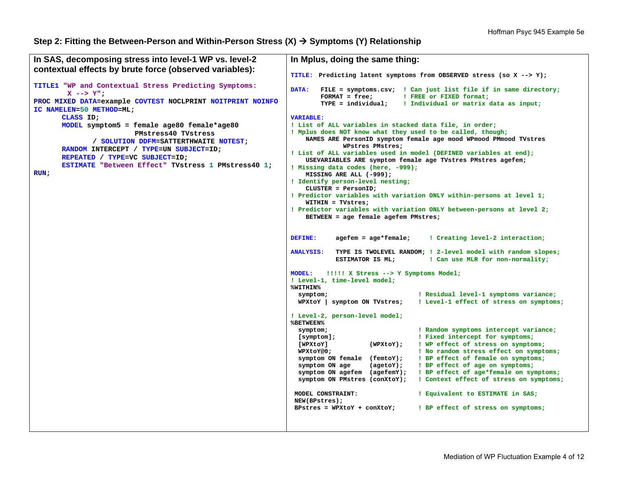## **Step 2: Fitting the Between-Person and Within-Person Stress (X) Symptoms (Y) Relationship**

```
In SAS, decomposing stress into level-1 WP vs. level-2 
contextual effects by brute force (observed variables): 
TITLE1 "WP and Contextual Stress Predicting Symptoms: 
         X --> Y"; 
PROC MIXED DATA=example COVTEST NOCLPRINT NOITPRINT NOINFO
IC NAMELEN=50 METHOD=ML; 
       CLASS ID; 
       MODEL symptom5 = female age80 female*age80 
                          PMstress40 TVstress  / SOLUTION DDFM=SATTERTHWAITE NOTEST; 
       RANDOM INTERCEPT / TYPE=UN SUBJECT=ID; 
       REPEATED / TYPE=VC SUBJECT=ID; 
       ESTIMATE "Between Effect" TVstress 1 PMstress40 1; 
RUN;
                                                                In Mplus, doing the same thing: 
                                                                TITLE: Predicting latent symptoms from OBSERVED stress (so X --> Y); 
                                                                DATA: FILE = symptoms.csv; ! Can just list file if in same directory;
                                                                         FORMAT = free; ! FREE or FIXED format;
                                                                         TYPE = individual; ! Individual or matrix data as input;
                                                                VARIABLE: ! List of ALL variables in stacked data file, in order; 
                                                                ! Mplus does NOT know what they used to be called, though; 
                                                                     NAMES ARE PersonID symptom female age mood WPmood PMmood TVstres 
                                                                              WPstres PMstres; 
                                                                ! List of ALL variables used in model (DEFINED variables at end); 
                                                                     USEVARIABLES ARE symptom female age TVstres PMstres agefem; 
                                                                ! Missing data codes (here, -999); 
                                                                     MISSING ARE ALL (-999); 
                                                                ! Identify person-level nesting; 
                                                                     CLUSTER = PersonID; 
                                                                ! Predictor variables with variation ONLY within-persons at level 1; 
                                                                     WITHIN = TVstres; 
                                                                ! Predictor variables with variation ONLY between-persons at level 2; 
                                                                     BETWEEN = age female agefem PMstres; 
                                                                DEFINE: agefem = age*female; ! Creating level-2 interaction; 
                                                                ANALYSIS: TYPE IS TWOLEVEL RANDOM; ! 2-level model with random slopes;
                                                                            ESTIMATOR IS ML; ! Can use MLR for non-normality; 
                                                                MODEL: !!!!! X Stress --> Y Symptoms Model; 
                                                                ! Level-1, time-level model; 
                                                                %WITHIN%  symptom; ! Residual level-1 symptoms variance;
                                                                   WPXtoY | symptom ON TVstres; ! Level-1 effect of stress on symptoms;
                                                                ! Level-2, person-level model; 
                                                                %BETWEEN%  symptom; ! Random symptoms intercept variance; 
                                                                   [symptom]; ! Fixed intercept for symptoms; 
                                                                   [WPXtoY] (WPXtoY); ! WP effect of stress on symptoms;
                                                                   WPXtoY@0; ! No random stress effect on symptoms; 
                                                                   symptom ON female (femtoY); ! BP effect of female on symptoms;
                                                                   symptom ON age (agetoY); ! BP effect of age on symptoms; 
                                                                   symptom ON agefem (agefemY); ! BP effect of age*female on symptoms; 
                                                                   symptom ON PMstres (conXtoY); ! Context effect of stress on symptoms; 
                                                                  MODEL CONSTRAINT: ! Equivalent to ESTIMATE in SAS; 
                                                                  NEW(BPstres); 
                                                                  BPstres = WPXtoY + conXtoY; ! BP effect of stress on symptoms;
```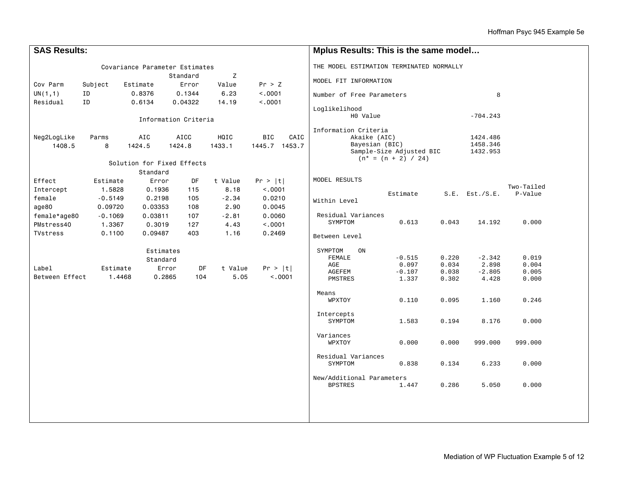| <b>SAS Results:</b> |               |                                |                      |               | Mplus Results: This is the same model |                                          |                          |                |                      |                |  |
|---------------------|---------------|--------------------------------|----------------------|---------------|---------------------------------------|------------------------------------------|--------------------------|----------------|----------------------|----------------|--|
|                     |               | Covariance Parameter Estimates |                      |               |                                       | THE MODEL ESTIMATION TERMINATED NORMALLY |                          |                |                      |                |  |
|                     | Z<br>Standard |                                |                      |               |                                       | MODEL FIT INFORMATION                    |                          |                |                      |                |  |
| Cov Parm            | Subject       | Estimate                       | Error                | Value         | Pr > Z                                |                                          |                          |                |                      |                |  |
| UN(1,1)<br>Residual | ID<br>ID      | 0.8376<br>0.6134               | 0.1344<br>0.04322    | 6.23<br>14.19 | < .0001<br>< .0001                    | Number of Free Parameters<br>8           |                          |                |                      |                |  |
|                     |               |                                |                      |               |                                       | Loglikelihood                            |                          |                |                      |                |  |
|                     |               |                                | Information Criteria |               |                                       | H0 Value                                 |                          |                | $-704.243$           |                |  |
|                     |               |                                |                      |               | Information Criteria                  |                                          |                          |                |                      |                |  |
| Neg2LogLike         | Parms         | AIC                            | AICC                 | HQIC          | BIC<br>CAIC                           | Akaike (AIC)<br>Bayesian (BIC)           |                          |                | 1424.486<br>1458.346 |                |  |
| 1408.5              | 8             | 1424.5                         | 1424.8               | 1433.1        | 1445.7 1453.7                         |                                          | Sample-Size Adjusted BIC |                | 1432.953             |                |  |
|                     |               | Solution for Fixed Effects     |                      |               |                                       |                                          | $(n* = (n + 2) / 24)$    |                |                      |                |  |
|                     |               | Standard                       |                      |               |                                       |                                          |                          |                |                      |                |  |
| Effect              | Estimate      | Error                          | DF                   | t Value       | Pr >  t                               | MODEL RESULTS                            |                          |                |                      |                |  |
| Intercept           | 1.5828        | 0.1936                         | 115                  | 8.18          | < .0001                               |                                          |                          |                |                      | Two-Tailed     |  |
| female              | $-0.5149$     | 0.2198                         | 105                  | $-2.34$       | 0.0210                                |                                          | Estimate                 |                | $S.E.$ Est./ $S.E.$  | P-Value        |  |
| age80               | 0.09720       | 0.03353                        | 108                  | 2.90          | 0.0045                                | Within Level                             |                          |                |                      |                |  |
| female*age80        | $-0.1069$     | 0.03811                        | 107                  | $-2.81$       | 0.0060                                | Residual Variances                       |                          |                |                      |                |  |
| PMstress40          | 1.3367        | 0.3019                         | 127                  | 4.43          | < .0001                               | SYMPTOM                                  | 0.613                    | 0.043          | 14.192               | 0.000          |  |
| <b>TVstress</b>     | 0.1100        | 0.09487                        | 403                  | 1.16          | 0.2469                                | Between Level                            |                          |                |                      |                |  |
|                     |               | Estimates                      |                      |               |                                       | SYMPTOM<br>ON                            |                          |                |                      |                |  |
|                     |               | Standard                       |                      |               |                                       | FEMALE<br>AGE                            | $-0.515$                 | 0.220<br>0.034 | $-2.342$<br>2.898    | 0.019<br>0.004 |  |
| Label               | Estimate      |                                | Error<br><b>DF</b>   | t Value       | Pr >  t                               | AGEFEM                                   | 0.097<br>$-0.107$        | 0.038          | $-2.805$             | 0.005          |  |
| Between Effect      | 1.4468        | 0.2865                         | 104                  | 5.05          | < .0001                               | PMSTRES                                  | 1.337                    | 0.302          | 4.428                | 0.000          |  |
|                     |               |                                |                      |               |                                       | Means                                    |                          |                |                      |                |  |
|                     |               |                                |                      |               |                                       | WPXTOY                                   | 0.110                    | 0.095          | 1.160                | 0.246          |  |
|                     |               |                                |                      |               |                                       | Intercepts                               |                          |                |                      |                |  |
|                     |               |                                |                      |               |                                       | SYMPTOM                                  | 1.583                    | 0.194          | 8.176                | 0.000          |  |
|                     |               |                                |                      |               |                                       | Variances                                |                          |                |                      |                |  |
|                     |               |                                |                      |               |                                       | WPXTOY                                   | 0.000                    | 0.000          | 999.000              | 999.000        |  |
|                     |               |                                |                      |               |                                       | Residual Variances                       |                          |                |                      |                |  |
|                     |               |                                |                      |               |                                       | SYMPTOM                                  | 0.838                    | 0.134          | 6.233                | 0.000          |  |
|                     |               |                                |                      |               |                                       | New/Additional Parameters                |                          |                |                      |                |  |
|                     |               |                                |                      |               |                                       | <b>BPSTRES</b>                           | 1.447                    | 0.286          | 5.050                | 0.000          |  |
|                     |               |                                |                      |               |                                       |                                          |                          |                |                      |                |  |
|                     |               |                                |                      |               |                                       |                                          |                          |                |                      |                |  |
|                     |               |                                |                      |               |                                       |                                          |                          |                |                      |                |  |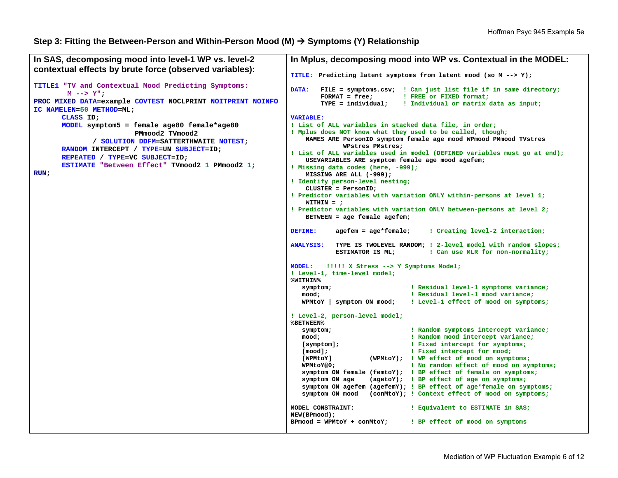#### **Step 3: Fitting the Between-Person and Within-Person Mood (M) Symptoms (Y) Relationship**

```
In SAS, decomposing mood into level-1 WP vs. level-2 
contextual effects by brute force (observed variables): 
TITLE1 "TV and Contextual Mood Predicting Symptoms: 
         M --> Y"; 
PROC MIXED DATA=example COVTEST NOCLPRINT NOITPRINT NOINFO
IC NAMELEN=50 METHOD=ML; 
       CLASS ID; 
      MODEL symptom5 = female age80 female*age80 
                          PMmood2 TVmood2  / SOLUTION DDFM=SATTERTHWAITE NOTEST; 
       RANDOM INTERCEPT / TYPE=UN SUBJECT=ID; 
       REPEATED / TYPE=VC SUBJECT=ID; 
       ESTIMATE "Between Effect" TVmood2 1 PMmood2 1; 
RUN;
                                                               In Mplus, decomposing mood into WP vs. Contextual in the MODEL: 
                                                               TITLE: Predicting latent symptoms from latent mood (so M --> Y); 
                                                               DATA: FILE = symptoms.csv; ! Can just list file if in same directory; 
                                                                       FORMAT = free; ! FREE or FIXED format;
                                                                        TYPE = individual; ! Individual or matrix data as input;
                                                               VARIABLE: ! List of ALL variables in stacked data file, in order; 
                                                               ! Mplus does NOT know what they used to be called, though; 
                                                                    NAMES ARE PersonID symptom female age mood WPmood PMmood TVstres 
                                                                             WPstres PMstres; 
                                                               ! List of ALL variables used in model (DEFINED variables must go at end); 
                                                                    USEVARIABLES ARE symptom female age mood agefem; 
                                                               ! Missing data codes (here, -999); 
                                                                    MISSING ARE ALL (-999); 
                                                               ! Identify person-level nesting; 
                                                                    CLUSTER = PersonID; 
                                                               ! Predictor variables with variation ONLY within-persons at level 1; 
                                                                    WITHIN = ; 
                                                               ! Predictor variables with variation ONLY between-persons at level 2; 
                                                                    BETWEEN = age female agefem; 
                                                               DEFINE: agefem = age*female; ! Creating level-2 interaction; 
                                                               ANALYSIS: TYPE IS TWOLEVEL RANDOM; ! 2-level model with random slopes;
                                                                           ESTIMATOR IS ML; ! Can use MLR for non-normality;
                                                               MODEL: !!!!! X Stress --> Y Symptoms Model;
                                                               ! Level-1, time-level model; 
                                                               %WITHIN%  symptom; ! Residual level-1 symptoms variance; 
                                                                   mood; ! Residual level-1 mood variance;
                                                                   WPMtoY | symptom ON mood; ! Level-1 effect of mood on symptoms;
                                                               ! Level-2, person-level model; 
                                                               %BETWEEN%  symptom; ! Random symptoms intercept variance; 
                                                                   mood; ! Random mood intercept variance;
                                                                   [symptom]; ! Fixed intercept for symptoms;
                                                                   [mood]; ! Fixed intercept for mood; 
                                                                   [WPMtoY] (WPMtoY); ! WP effect of mood on symptoms; 
                                                                   WPMtoY@0; ! No random effect of mood on symptoms;
                                                                   symptom ON female (femtoY); ! BP effect of female on symptoms; 
                                                                   symptom ON age (agetoY); ! BP effect of age on symptoms;
                                                                   symptom ON agefem (agefemY); ! BP effect of age*female on symptoms; 
                                                                   symptom ON mood (conMtoY); ! Context effect of mood on symptoms; 
                                                               MODEL CONSTRAINT: ! Equivalent to ESTIMATE in SAS; 
                                                               NEW(BPmood); 
                                                               BPmood = WPMtoY + conMtoY; ! BP effect of mood on symptoms
```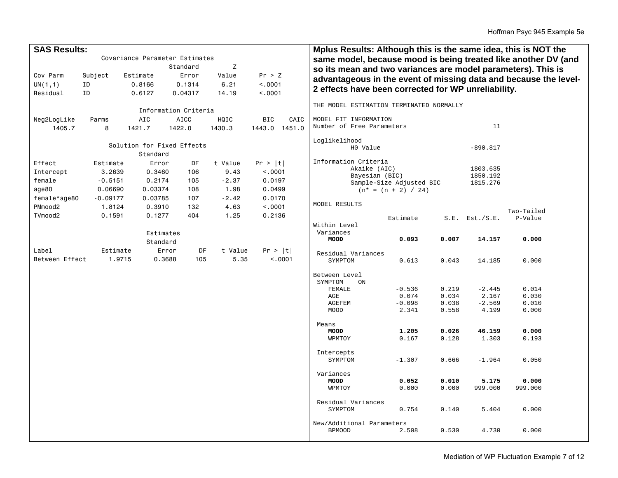| <b>SAS Results:</b> |                                                             |          |                                |          |         |                    | Mplus Results: Although this is the same idea, this is NOT the |                                                                  |       |                                                     |                                                                |  |  |
|---------------------|-------------------------------------------------------------|----------|--------------------------------|----------|---------|--------------------|----------------------------------------------------------------|------------------------------------------------------------------|-------|-----------------------------------------------------|----------------------------------------------------------------|--|--|
|                     |                                                             |          | Covariance Parameter Estimates |          |         |                    |                                                                |                                                                  |       |                                                     | same model, because mood is being treated like another DV (and |  |  |
|                     |                                                             |          |                                | Standard | Z       |                    |                                                                |                                                                  |       |                                                     |                                                                |  |  |
| Cov Parm            | Subject                                                     |          | Estimate                       | Error    | Value   | Pr > Z             | so its mean and two variances are model parameters). This is   |                                                                  |       |                                                     |                                                                |  |  |
| UN(1,1)             | ID                                                          |          | 0.8166                         | 0.1314   | 6.21    | < .0001            |                                                                | advantageous in the event of missing data and because the level- |       |                                                     |                                                                |  |  |
| Residual            | ID                                                          |          | 0.6127                         | 0.04317  | 14.19   | < .0001            |                                                                |                                                                  |       | 2 effects have been corrected for WP unreliability. |                                                                |  |  |
|                     |                                                             |          |                                |          |         |                    |                                                                |                                                                  |       |                                                     |                                                                |  |  |
|                     |                                                             |          |                                |          |         |                    | THE MODEL ESTIMATION TERMINATED NORMALLY                       |                                                                  |       |                                                     |                                                                |  |  |
| Neg2LogLike         | Information Criteria<br><b>AICC</b><br>HQIC<br>Parms<br>AIC |          |                                |          |         | <b>BIC</b><br>CAIC | MODEL FIT INFORMATION                                          |                                                                  |       |                                                     |                                                                |  |  |
| 1405.7              | 8                                                           |          | 1421.7                         | 1422.0   | 1430.3  | 1443.0 1451.0      | Number of Free Parameters                                      |                                                                  |       | 11                                                  |                                                                |  |  |
|                     |                                                             |          |                                |          |         |                    |                                                                |                                                                  |       |                                                     |                                                                |  |  |
|                     |                                                             |          | Solution for Fixed Effects     |          |         |                    | Loglikelihood                                                  |                                                                  |       |                                                     |                                                                |  |  |
|                     |                                                             |          |                                |          |         |                    | H0 Value                                                       |                                                                  |       | $-890.817$                                          |                                                                |  |  |
|                     |                                                             |          | Standard                       |          |         |                    | Information Criteria                                           |                                                                  |       |                                                     |                                                                |  |  |
| Effect              | Estimate                                                    |          | Error                          | DF       | t Value | Pr >  t            | Akaike (AIC)                                                   |                                                                  |       | 1803.635                                            |                                                                |  |  |
| Intercept           | 3.2639                                                      |          | 0.3460                         | 106      | 9.43    | < .0001            | Bayesian (BIC)                                                 |                                                                  |       | 1850.192                                            |                                                                |  |  |
| female              | $-0.5151$                                                   |          | 0.2174                         | 105      | $-2.37$ | 0.0197             |                                                                | Sample-Size Adjusted BIC                                         |       | 1815.276                                            |                                                                |  |  |
| age80               | 0.06690                                                     |          | 0.03374                        | 108      | 1.98    | 0.0499             |                                                                | $(n* = (n + 2) / 24)$                                            |       |                                                     |                                                                |  |  |
| female*age80        | $-0.09177$                                                  |          | 0.03785                        | 107      | $-2.42$ | 0.0170             | MODEL RESULTS                                                  |                                                                  |       |                                                     |                                                                |  |  |
| PMmood2             | 1.8124                                                      |          | 0.3910                         | 132      | 4.63    | < .0001            |                                                                |                                                                  |       |                                                     | Two-Tailed                                                     |  |  |
| TVmood2             | 0.1591                                                      |          | 0.1277                         | 404      | 1.25    | 0.2136             |                                                                | Estimate                                                         | S.E.  | Est./S.E.                                           | P-Value                                                        |  |  |
|                     |                                                             |          |                                |          |         |                    | Within Level                                                   |                                                                  |       |                                                     |                                                                |  |  |
|                     |                                                             |          | Estimates                      |          |         |                    | Variances                                                      |                                                                  |       |                                                     |                                                                |  |  |
|                     |                                                             |          | Standard                       |          |         |                    | <b>MOOD</b>                                                    | 0.093                                                            | 0.007 | 14.157                                              | 0.000                                                          |  |  |
| Label               |                                                             | Estimate | Error                          | DF       | t Value | Pr >  t            | Residual Variances                                             |                                                                  |       |                                                     |                                                                |  |  |
| Between Effect      |                                                             | 1.9715   | 0.3688                         | 105      | 5.35    | < .0001            | SYMPTOM                                                        | 0.613                                                            | 0.043 | 14.185                                              | 0.000                                                          |  |  |
|                     |                                                             |          |                                |          |         |                    |                                                                |                                                                  |       |                                                     |                                                                |  |  |
|                     |                                                             |          |                                |          |         |                    | Between Level                                                  |                                                                  |       |                                                     |                                                                |  |  |
|                     |                                                             |          |                                |          |         |                    | SYMPTOM<br>0N                                                  |                                                                  | 0.219 | $-2.445$                                            | 0.014                                                          |  |  |
|                     |                                                             |          |                                |          |         |                    | FEMALE<br>AGE                                                  | $-0.536$<br>0.074                                                | 0.034 | 2.167                                               | 0.030                                                          |  |  |
|                     |                                                             |          |                                |          |         |                    | AGEFEM                                                         | $-0.098$                                                         | 0.038 | $-2.569$                                            | 0.010                                                          |  |  |
|                     |                                                             |          |                                |          |         |                    | <b>MOOD</b>                                                    | 2.341                                                            | 0.558 | 4.199                                               | 0.000                                                          |  |  |
|                     |                                                             |          |                                |          |         |                    |                                                                |                                                                  |       |                                                     |                                                                |  |  |
|                     |                                                             |          |                                |          |         |                    | Means                                                          |                                                                  | 0.026 |                                                     | 0.000                                                          |  |  |
|                     |                                                             |          |                                |          |         |                    | <b>MOOD</b><br>WPMTOY                                          | 1.205<br>0.167                                                   | 0.128 | 46.159<br>1.303                                     | 0.193                                                          |  |  |
|                     |                                                             |          |                                |          |         |                    |                                                                |                                                                  |       |                                                     |                                                                |  |  |
|                     |                                                             |          |                                |          |         |                    | Intercepts                                                     |                                                                  |       |                                                     |                                                                |  |  |
|                     |                                                             |          |                                |          |         |                    | SYMPTOM                                                        | $-1.307$                                                         | 0.666 | $-1.964$                                            | 0.050                                                          |  |  |
|                     |                                                             |          |                                |          |         |                    |                                                                |                                                                  |       |                                                     |                                                                |  |  |
|                     |                                                             |          |                                |          |         |                    | Variances<br><b>MOOD</b>                                       | 0.052                                                            | 0.010 | 5.175                                               | 0.000                                                          |  |  |
|                     |                                                             |          |                                |          |         |                    | WPMTOY                                                         | 0.000                                                            | 0.000 | 999.000                                             | 999.000                                                        |  |  |
|                     |                                                             |          |                                |          |         |                    |                                                                |                                                                  |       |                                                     |                                                                |  |  |
|                     |                                                             |          |                                |          |         |                    | Residual Variances                                             |                                                                  |       |                                                     |                                                                |  |  |
|                     |                                                             |          |                                |          |         |                    | SYMPTOM                                                        | 0.754                                                            | 0.140 | 5.404                                               | 0.000                                                          |  |  |
|                     |                                                             |          |                                |          |         |                    | New/Additional Parameters                                      |                                                                  |       |                                                     |                                                                |  |  |
|                     |                                                             |          |                                |          |         |                    | <b>BPMOOD</b>                                                  | 2.508                                                            | 0.530 | 4.730                                               | 0.000                                                          |  |  |
|                     |                                                             |          |                                |          |         |                    |                                                                |                                                                  |       |                                                     |                                                                |  |  |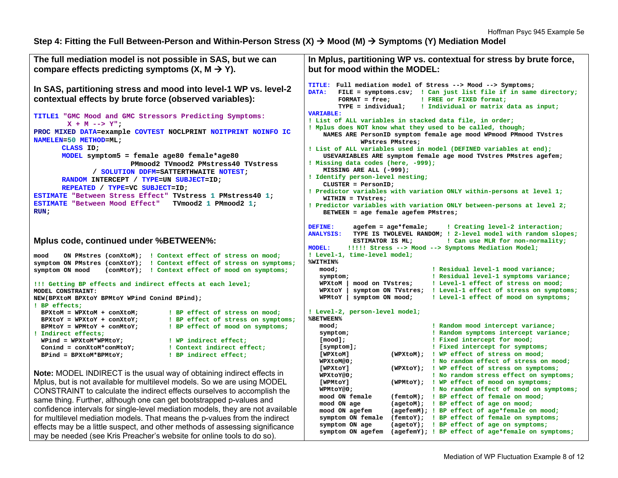Step 4: Fitting the Full Between-Person and Within-Person Stress (X) → Mood (M) → Symptoms (Y) Mediation Model

```
The full mediation model is not possible in SAS, but we can 
compare effects predicting symptoms (X, M \rightarrow Y).
In SAS, partitioning stress and mood into level-1 WP vs. level-2 
contextual effects by brute force (observed variables): 
TITLE1 "GMC Mood and GMC Stressors Predicting Symptoms: 
        X + M \rightarrow > Y";
PROC MIXED DATA=example COVTEST NOCLPRINT NOITPRINT NOINFO IC
NAMELEN=50 METHOD=ML; 
       CLASS ID; 
       MODEL symptom5 = female age80 female*age80 
                         PMmood2 TVmood2 PMstress40 TVstress  / SOLUTION DDFM=SATTERTHWAITE NOTEST; 
       RANDOM INTERCEPT / TYPE=UN SUBJECT=ID; 
       REPEATED / TYPE=VC SUBJECT=ID; 
ESTIMATE "Between Stress Effect" TVstress 1 PMstress40 1; 
ESTIMATE "Between Mood Effect" TVmood2 1 PMmood2 1; 
RUN; 
Mplus code, continued under %BETWEEN%: 
mood ON PMstres (conXtoM); ! Context effect of stress on mood;
symptom ON PMstres (conXtoY); ! Context effect of stress on symptoms; 
symptom ON mood (conMtoY); ! Context effect of mood on symptoms;
!!! Getting BP effects and indirect effects at each level; 
MODEL CONSTRAINT: NEW(BPXtoM BPXtoY BPMtoY WPind Conind BPind); 
! BP effects; 
  BPXtoM = WPXtoM + conXtoM; ! BP effect of stress on mood;
  BPXtoY = WPXtoY + conXtoY; ! BP effect of stress on symptoms;
  BPMtoY = WPMtoY + conMtoY; ! BP effect of mood on symptoms; 
! Indirect effects; 
  WPind = WPXtoM*WPMtoY; ! WP indirect effect;
  Conind = conXtoM*conMtoY; ! Context indirect effect; 
  BPind = BPXtoM*BPMtoY; ! BP indirect effect;
Note: MODEL INDIRECT is the usual way of obtaining indirect effects in 
Mplus, but is not available for multilevel models. So we are using MODEL 
CONSTRAINT to calculate the indirect effects ourselves to accomplish the 
same thing. Further, although one can get bootstrapped p-values and 
confidence intervals for single-level mediation models, they are not available 
for multilevel mediation models. That means the p-values from the indirect 
effects may be a little suspect, and other methods of assessing significance 
may be needed (see Kris Preacher's website for online tools to do so). 
                                                                     In Mplus, partitioning WP vs. contextual for stress by brute force, 
                                                                     but for mood within the MODEL: TITLE: Full mediation model of Stress --> Mood --> Symptoms; 
                                                                     DATA: FILE = symptoms.csv; ! Can just list file if in same directory;
                                                                             FORMAT = free; ! FREE or FIXED format;
                                                                             TYPE = individual; ! Individual or matrix data as input; 
                                                                     VARIABLE: ! List of ALL variables in stacked data file, in order; 
                                                                     ! Mplus does NOT know what they used to be called, though; 
                                                                          NAMES ARE PersonID symptom female age mood WPmood PMmood TVstres 
                                                                                   WPstres PMstres; 
                                                                     ! List of ALL variables used in model (DEFINED variables at end); 
                                                                          USEVARIABLES ARE symptom female age mood TVstres PMstres agefem; 
                                                                     ! Missing data codes (here, -999); 
                                                                         MISSING ARE ALL (-999); 
                                                                     ! Identify person-level nesting; 
                                                                         CLUSTER = PersonID; 
                                                                     ! Predictor variables with variation ONLY within-persons at level 1; 
                                                                         WITHIN = TVstres; 
                                                                     ! Predictor variables with variation ONLY between-persons at level 2; 
                                                                         BETWEEN = age female agefem PMstres; 
                                                                     DEFINE: agefem = age*female; ! Creating level-2 interaction;
                                                                     ANALYSIS: TYPE IS TWOLEVEL RANDOM; ! 2-level model with random slopes; 
                                                                                 ESTIMATOR IS ML; ! Can use MLR for non-normality; 
                                                                     MODEL: !!!!! Stress --> Mood --> Symptoms Mediation Model;
                                                                     ! Level-1, time-level model; 
                                                                     %WITHIN%  mood; ! Residual level-1 mood variance; 
                                                                         symptom; ! Residual level-1 symptoms variance; 
                                                                        WPXtoM | mood on TVstres; ! Level-1 effect of stress on mood;
                                                                        WPXtoY | symptom ON TVstres; ! Level-1 effect of stress on symptoms;
                                                                         WPMtoY | symptom ON mood; ! Level-1 effect of mood on symptoms;
                                                                     ! Level-2, person-level model; 
                                                                     %BETWEEN%  mood; ! Random mood intercept variance; 
                                                                         symptom; ! Random symptoms intercept variance;
                                                                         [mood]; ! Fixed intercept for mood;
                                                                         [symptom]; ! Fixed intercept for symptoms;
                                                                         [WPXtoM] (WPXtoM); ! WP effect of stress on mood;
                                                                         WPXtoM@0; ! No random effect of stress on mood; 
                                                                         [WPXtoY] (WPXtoY); ! WP effect of stress on symptoms;
                                                                         WPXtoY@0; ! No random stress effect on symptoms; 
                                                                         [WPMtoY] (WPMtoY); ! WP effect of mood on symptoms;
                                                                         WPMtoY@0; ! No random effect of mood on symptoms; 
                                                                         mood ON female (femtoM); ! BP effect of female on mood; 
                                                                         mood ON age (agetoM); ! BP effect of age on mood; 
                                                                         mood ON agefem (agefemM); ! BP effect of age*female on mood;
                                                                         symptom ON female (femtoY); ! BP effect of female on symptoms;
                                                                         symptom ON age (agetoY); ! BP effect of age on symptoms; 
                                                                         symptom ON agefem (agefemY); ! BP effect of age*female on symptoms;
```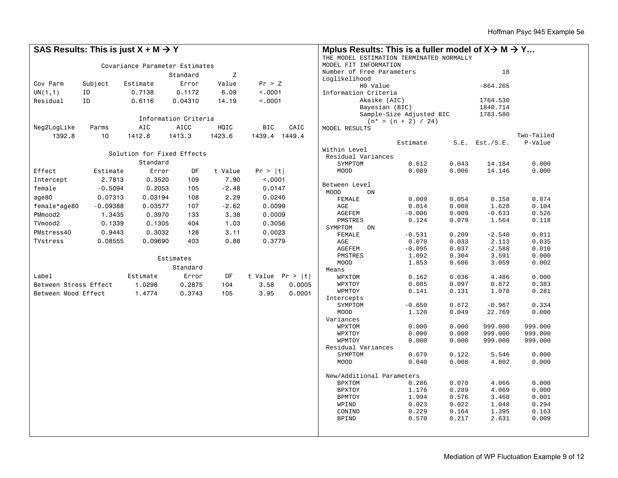| SAS Results: This is just $X + M \rightarrow Y$ |               |                                |                      |         |                                                          | Mplus Results: This is a fuller model of $X \rightarrow M \rightarrow Y$ |                                |                           |                |                |                |
|-------------------------------------------------|---------------|--------------------------------|----------------------|---------|----------------------------------------------------------|--------------------------------------------------------------------------|--------------------------------|---------------------------|----------------|----------------|----------------|
|                                                 |               |                                |                      |         | THE MODEL ESTIMATION TERMINATED NORMALLY                 |                                                                          |                                |                           |                |                |                |
|                                                 |               | Covariance Parameter Estimates |                      |         | MODEL FIT INFORMATION<br>18<br>Number of Free Parameters |                                                                          |                                |                           |                |                |                |
|                                                 | Z<br>Standard |                                |                      |         |                                                          |                                                                          | Loglikelihood                  |                           |                |                |                |
| Cov Parm                                        | Subject       | Estimate                       | Error                | Value   | Pr > Z                                                   |                                                                          |                                | H0 Value                  |                | $-864.265$     |                |
| UN(1,1)                                         | ID            | 0.7138                         | 0.1172               | 6.09    | < .0001                                                  |                                                                          | Information Criteria           |                           |                |                |                |
| Residual                                        | ID            | 0.6116                         | 0.04310              | 14.19   | < .0001                                                  |                                                                          |                                | Akaike (AIC)              |                | 1764.530       |                |
|                                                 |               |                                |                      |         |                                                          | Bayesian (BIC)                                                           |                                | 1840.714                  |                |                |                |
|                                                 |               |                                | Information Criteria |         |                                                          |                                                                          |                                | Sample-Size Adjusted BIC  |                | 1783.580       |                |
| Neg2LogLike                                     | HQIC          | BIC                            | CAIC                 |         | $(n* = (n + 2) / 24)$                                    |                                                                          |                                |                           |                |                |                |
| 1392.8                                          | Parms         | AIC                            | <b>AICC</b>          |         |                                                          |                                                                          | MODEL RESULTS                  |                           |                |                | Two-Tailed     |
|                                                 | 10            | 1412.8                         | 1413.3               | 1423.6  | 1439.4 1449.4                                            |                                                                          |                                | Estimate                  | S.E.           | Est./S.E.      | P-Value        |
|                                                 |               |                                |                      |         |                                                          |                                                                          | Within Level                   |                           |                |                |                |
|                                                 |               | Solution for Fixed Effects     |                      |         |                                                          |                                                                          | Residual Variances             |                           |                |                |                |
|                                                 |               | Standard                       |                      |         |                                                          |                                                                          | SYMPTOM                        | 0.612                     | 0.043          | 14.184         | 0.000          |
| Effect                                          | Estimate      | Error                          | DF                   | t Value | Pr >  t                                                  |                                                                          | MOOD                           | 0.089                     | 0.006          | 14.146         | 0.000          |
| Intercept                                       | 2.7813        | 0.3520                         | 109                  | 7.90    | < .0001                                                  |                                                                          |                                |                           |                |                |                |
| female                                          | $-0.5094$     | 0.2053                         | 105                  | $-2.48$ | 0.0147                                                   |                                                                          | Between Level                  |                           |                |                |                |
| age80                                           | 0.07313       | 0.03194                        | 108                  | 2.29    | 0.0240                                                   |                                                                          | MOOD<br>FEMALE                 | ON<br>0.009               | 0.054          | 0.158          | 0.874          |
| female*age80                                    | $-0.09388$    | 0.03577                        | 107                  | $-2.62$ | 0.0099                                                   |                                                                          | AGE                            | 0.014                     | 0.008          | 1.628          | 0.104          |
| PMmood2                                         | 1.3435        | 0.3970                         | 133                  | 3.38    | 0.0009                                                   |                                                                          | <b>AGEFEM</b>                  | $-0.006$                  | 0.009          | $-0.633$       | 0.526          |
| TVmood2                                         | 0.1339        |                                |                      |         |                                                          |                                                                          | PMSTRES                        | 0.124                     | 0.079          | 1.564          | 0.118          |
|                                                 |               | 0.1305                         | 404                  | 1.03    | 0.3056                                                   |                                                                          | SYMPTOM                        | ON                        |                |                |                |
| PMstress40                                      | 0.9443        | 0.3032                         | 128                  | 3.11    | 0.0023                                                   |                                                                          | FEMALE                         | $-0.531$                  | 0.209          | $-2.540$       | 0.011          |
| <b>TVstress</b>                                 | 0.08555       | 0.09690                        | 403                  | 0.88    | 0.3779                                                   |                                                                          | AGE                            | 0.070                     | 0.033          | 2.113          | 0.035          |
|                                                 |               |                                |                      |         |                                                          |                                                                          | <b>AGEFEM</b>                  | $-0.095$                  | 0.037          | $-2.588$       | 0.010          |
|                                                 |               |                                | Estimates            |         |                                                          |                                                                          | PMSTRES<br>MOOD                | 1.092<br>1.853            | 0.304<br>0.606 | 3.591<br>3.059 | 0.000<br>0.002 |
|                                                 |               |                                | Standard             |         |                                                          |                                                                          | Means                          |                           |                |                |                |
| Label                                           |               | Estimate                       | Error                | DF      |                                                          | t Value $Pr >  t $                                                       | WPXTOM                         | 0.162                     | 0.036          | 4.486          | 0.000          |
| Between Stress Effect                           |               | 1.0298                         | 0.2875               | 104     | 3.58                                                     | 0.0005                                                                   | WPXTOY                         | 0.085                     | 0.097          | 0.872          | 0.383          |
| Between Mood Effect                             |               | 1.4774                         | 0.3743               | 105     | 3.95                                                     | 0.0001                                                                   | WPMTOY                         | 0.141                     | 0.131          | 1.078          | 0.281          |
|                                                 |               |                                |                      |         |                                                          |                                                                          | Intercepts                     |                           |                |                |                |
|                                                 |               |                                |                      |         |                                                          |                                                                          | SYMPTOM                        | $-0.650$                  | 0.672          | $-0.967$       | 0.334          |
|                                                 |               |                                |                      |         |                                                          |                                                                          | MOOD                           | 1.120                     | 0.049          | 22.769         | 0.000          |
|                                                 |               |                                |                      |         |                                                          |                                                                          | Variances<br>WPXTOM            | 0.000                     | 0.000          | 999.000        | 999.000        |
|                                                 |               |                                |                      |         |                                                          |                                                                          | WPXTOY                         | 0.000                     | 0.000          | 999.000        | 999.000        |
|                                                 |               |                                |                      |         |                                                          |                                                                          | WPMTOY                         | 0.000                     | 0.000          | 999.000        | 999.000        |
|                                                 |               |                                |                      |         |                                                          |                                                                          | Residual Variances             |                           |                |                |                |
|                                                 |               |                                |                      |         |                                                          |                                                                          | SYMPTOM                        | 0.679                     | 0.122          | 5.546          | 0.000          |
|                                                 |               |                                |                      |         |                                                          |                                                                          | MOOD                           | 0.040                     | 0.008          | 4.802          | 0.000          |
|                                                 |               |                                |                      |         |                                                          |                                                                          |                                |                           |                |                |                |
|                                                 |               |                                |                      |         |                                                          |                                                                          |                                | New/Additional Parameters |                | 4.066          | 0.000          |
|                                                 |               |                                |                      |         |                                                          |                                                                          | <b>BPXTOM</b><br><b>BPXTOY</b> | 0.286<br>1.176            | 0.070<br>0.289 | 4.069          | 0.000          |
|                                                 |               |                                |                      |         |                                                          |                                                                          | BPMTOY                         | 1.994                     | 0.576          | 3.460          | 0.001          |
|                                                 |               |                                |                      |         |                                                          |                                                                          | WPIND                          | 0.023                     | 0.022          | 1.048          | 0.294          |
|                                                 |               |                                |                      |         |                                                          |                                                                          | CONIND                         | 0.229                     | 0.164          | 1.395          | 0.163          |
|                                                 |               |                                |                      |         |                                                          |                                                                          | <b>BPIND</b>                   | 0.570                     | 0.217          | 2.631          | 0.009          |
|                                                 |               |                                |                      |         |                                                          |                                                                          |                                |                           |                |                |                |
|                                                 |               |                                |                      |         |                                                          |                                                                          |                                |                           |                |                |                |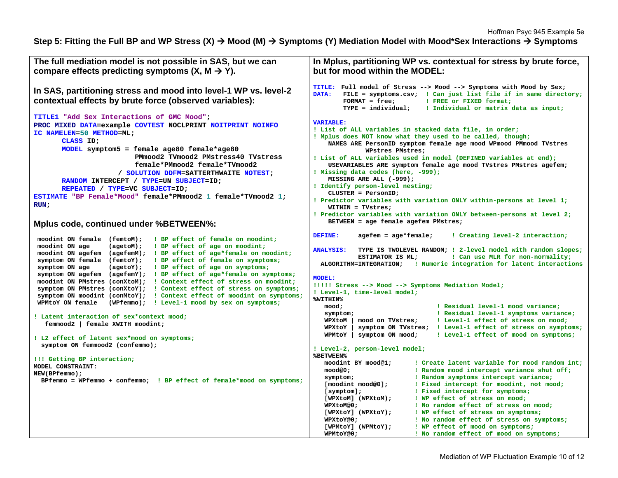## **Step 5: Fitting the Full BP and WP Stress (X) Mood (M) Symptoms (Y) Mediation Model with Mood\*Sex Interactions Symptoms**

| The full mediation model is not possible in SAS, but we can<br>compare effects predicting symptoms $(X, M \rightarrow Y)$ .                                                                                                                                                                                                                                                                                                                                                                                                                                                                                                                                                                                                                                        | In Mplus, partitioning WP vs. contextual for stress by brute force,<br>but for mood within the MODEL:                                                                                                                                                                                                                                                                                                                                                                                                                                                                                                    |  |  |  |  |  |
|--------------------------------------------------------------------------------------------------------------------------------------------------------------------------------------------------------------------------------------------------------------------------------------------------------------------------------------------------------------------------------------------------------------------------------------------------------------------------------------------------------------------------------------------------------------------------------------------------------------------------------------------------------------------------------------------------------------------------------------------------------------------|----------------------------------------------------------------------------------------------------------------------------------------------------------------------------------------------------------------------------------------------------------------------------------------------------------------------------------------------------------------------------------------------------------------------------------------------------------------------------------------------------------------------------------------------------------------------------------------------------------|--|--|--|--|--|
| In SAS, partitioning stress and mood into level-1 WP vs. level-2<br>contextual effects by brute force (observed variables):                                                                                                                                                                                                                                                                                                                                                                                                                                                                                                                                                                                                                                        | TITLE: Full model of Stress --> Mood --> Symptoms with Mood by Sex;<br>DATA:<br>FILE = symptoms.csv; ! Can just list file if in same directory;<br>$FORMAT = free;$<br>! FREE or FIXED format;<br>$TYPE = individual:$<br>! Individual or matrix data as input;                                                                                                                                                                                                                                                                                                                                          |  |  |  |  |  |
| TITLE1 "Add Sex Interactions of GMC Mood";<br>PROC MIXED DATA=example COVTEST NOCLPRINT NOITPRINT NOINFO<br>IC NAMELEN=50 METHOD=ML;<br>CLASS ID:<br>MODEL symptom5 = female age80 female*age80<br>PMmood2 TVmood2 PMstress40 TVstress<br>female*PMmood2 female*TVmood2<br>/ SOLUTION DDFM=SATTERTHWAITE NOTEST;<br>RANDOM INTERCEPT / TYPE=UN SUBJECT=ID;<br>REPEATED / TYPE=VC SUBJECT=ID;<br>ESTIMATE "BP Female*Mood" female*PMmood2 1 female*TVmood2 1;<br>RUN:                                                                                                                                                                                                                                                                                               | <b>VARIABLE:</b><br>! List of ALL variables in stacked data file, in order;<br>! Mplus does NOT know what they used to be called, though;<br>NAMES ARE PersonID symptom female age mood WPmood PMmood TVstres<br>WPstres PMstres;<br>! List of ALL variables used in model (DEFINED variables at end);<br>USEVARIABLES ARE symptom female age mood TVstres PMstres agefem;<br>! Missing data codes (here, -999);<br>MISSING ARE ALL (-999);<br>! Identify person-level nesting;<br>$CLUSTER = PersonID;$<br>! Predictor variables with variation ONLY within-persons at level 1;<br>$WITHIN = TVstress:$ |  |  |  |  |  |
| Mplus code, continued under %BETWEEN%:                                                                                                                                                                                                                                                                                                                                                                                                                                                                                                                                                                                                                                                                                                                             | ! Predictor variables with variation ONLY between-persons at level 2;<br>BETWEEN = age female agefem PMstres;                                                                                                                                                                                                                                                                                                                                                                                                                                                                                            |  |  |  |  |  |
| moodint ON female (femtoM);<br>! BP effect of female on moodint;<br>moodint ON age<br>! BP effect of age on moodint;<br>$(aqetom)$ ;<br>moodint ON agefem (agefemM); ! BP effect of age*female on moodint;<br>symptom ON female (femtoY); ! BP effect of female on symptoms;<br>symptom ON age<br>(agetoY);<br>! BP effect of age on symptoms;<br>symptom ON agefem (agefemY); ! BP effect of age*female on symptoms;<br>moodint ON PMstres (conXtoM); ! Context effect of stress on moodint;<br>symptom ON PMstres (conXtoY); ! Context effect of stress on symptoms;<br>symptom ON moodint (conMtoY); ! Context effect of moodint on symptoms;<br>WPMtoY ON female<br>(WPfemmo); ! Level-1 mood by sex on symptoms;<br>! Latent interaction of sex*context mood; | DEFINE:<br>$a$ gefem = $a$ ge*female;<br>! Creating level-2 interaction;<br>TYPE IS TWOLEVEL RANDOM; ! 2-level model with random slopes;<br><b>ANALYSIS:</b><br>ESTIMATOR IS ML;<br>! Can use MLR for non-normality;<br>! Numeric integration for latent interactions<br>ALGORITHM=INTEGRATION;<br><b>MODEL:</b><br>!!!!! Stress --> Mood --> Symptoms Mediation Model;<br>! Level-1, time-level model;<br>%WITHIN%<br>! Residual level-1 mood variance;<br>mood;<br>! Residual level-1 symptoms variance;<br>symptom;                                                                                   |  |  |  |  |  |
| femmood2   female XWITH moodint;                                                                                                                                                                                                                                                                                                                                                                                                                                                                                                                                                                                                                                                                                                                                   | ! Level-1 effect of stress on mood;<br>WPXtoM<br>mood on TVstres;<br>symptom ON TVstres; ! Level-1 effect of stress on symptoms;<br>WPXtoY                                                                                                                                                                                                                                                                                                                                                                                                                                                               |  |  |  |  |  |
| ! L2 effect of latent sex*mood on symptoms;<br>symptom ON femmood2 (confemmo);<br>!!! Getting BP interaction;<br>MODEL CONSTRAINT:<br>NEW(BPfemmo);                                                                                                                                                                                                                                                                                                                                                                                                                                                                                                                                                                                                                | $WPMtoY$   symptom ON mood;<br>! Level-1 effect of mood on symptoms;<br>! Level-2, person-level model;<br><b>%BETWEEN%</b><br>moodint BY mood@1;<br>! Create latent variable for mood random int;<br>! Random mood intercept variance shut off;<br>mood@0;                                                                                                                                                                                                                                                                                                                                               |  |  |  |  |  |
| BPfemmo = WPfemmo + confemmo; ! BP effect of female*mood on symptoms;                                                                                                                                                                                                                                                                                                                                                                                                                                                                                                                                                                                                                                                                                              | ! Random symptoms intercept variance;<br>symptom;<br>! Fixed intercept for moodint, not mood;<br>[moodint mood@0];<br>! Fixed intercept for symptoms;<br>$[symptom]$ ;<br>[WPXtoM] (WPXtoM);<br>! WP effect of stress on mood;<br>! No random effect of stress on mood;<br>WPXtoM@0;<br>[WPXtoY] (WPXtoY);<br>! WP effect of stress on symptoms;<br>! No random effect of stress on symptoms;<br>WPXtoY@0;<br>[WPMtoY] (WPMtoY);<br>! WP effect of mood on symptoms;<br>! No random effect of mood on symptoms;<br>WPMtoY@0;                                                                             |  |  |  |  |  |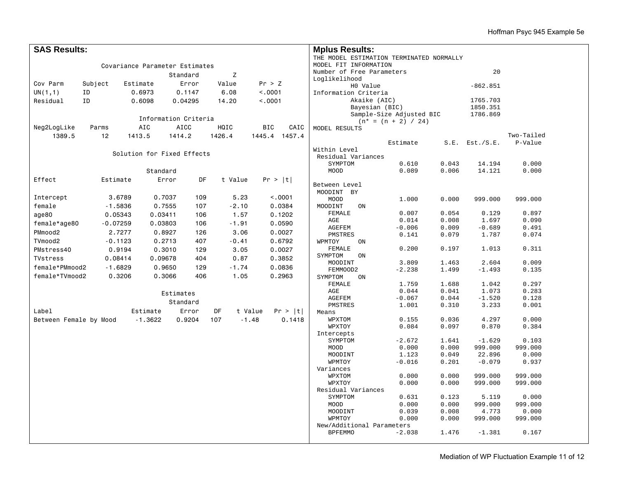| <b>SAS Results:</b>                        |                                             |                                |                      |         |                    | <b>Mplus Results:</b>     |                                          |                |                     |                |  |
|--------------------------------------------|---------------------------------------------|--------------------------------|----------------------|---------|--------------------|---------------------------|------------------------------------------|----------------|---------------------|----------------|--|
|                                            |                                             |                                |                      |         |                    |                           | THE MODEL ESTIMATION TERMINATED NORMALLY |                |                     |                |  |
|                                            |                                             | Covariance Parameter Estimates |                      |         |                    | MODEL FIT INFORMATION     |                                          |                |                     |                |  |
|                                            |                                             |                                | Standard             | Z       |                    | Number of Free Parameters |                                          |                | 20                  |                |  |
| Cov Parm                                   |                                             |                                | Error                | Value   | Pr > Z             | Loglikelihood             |                                          |                |                     |                |  |
|                                            | Subject                                     | Estimate                       |                      |         |                    | HO Value                  |                                          |                | $-862.851$          |                |  |
| UN(1,1)                                    | ID                                          | 0.6973                         | 0.1147               | 6.08    | < .0001            | Information Criteria      |                                          |                |                     |                |  |
| Residual                                   | ID<br>0.6098<br>14.20<br>< 0.001<br>0.04295 |                                |                      |         |                    | Akaike (AIC)              |                                          | 1765.703       |                     |                |  |
|                                            |                                             |                                |                      |         |                    |                           | Bayesian (BIC)                           |                | 1850.351            |                |  |
|                                            |                                             |                                | Information Criteria |         |                    |                           | Sample-Size Adjusted BIC                 |                | 1786.869            |                |  |
| <b>AICC</b><br>Neg2LogLike<br>AIC<br>Parms |                                             |                                |                      | HQIC    | <b>BIC</b><br>CAIC |                           | $(n* = (n + 2) / 24)$                    |                |                     |                |  |
| 1389.5                                     |                                             |                                | 1414.2               |         | 1445.4 1457.4      | MODEL RESULTS             |                                          |                |                     | Two-Tailed     |  |
|                                            | 12                                          | 1413.5                         |                      | 1426.4  |                    |                           | Estimate                                 |                | $S.E.$ Est./ $S.E.$ | P-Value        |  |
|                                            |                                             |                                |                      |         |                    | Within Level              |                                          |                |                     |                |  |
|                                            |                                             | Solution for Fixed Effects     |                      |         |                    | Residual Variances        |                                          |                |                     |                |  |
|                                            |                                             |                                |                      |         |                    | SYMPTOM                   | 0.610                                    | 0.043          | 14.194              | 0.000          |  |
|                                            |                                             | Standard                       |                      |         |                    | MOOD                      | 0.089                                    | 0.006          | 14.121              | 0.000          |  |
| Effect                                     | Estimate                                    | Error                          | DF                   | t Value | Pr >  t            |                           |                                          |                |                     |                |  |
|                                            |                                             |                                |                      |         |                    | Between Level             |                                          |                |                     |                |  |
| Intercept                                  | 3.6789                                      | 0.7037                         | 109                  | 5.23    | < .0001            | MOODINT BY                |                                          |                |                     |                |  |
| female                                     | $-1.5836$                                   | 0.7555                         | 107                  | $-2.10$ | 0.0384             | MOOD<br>MOODINT           | 1.000                                    | 0.000          | 999.000             | 999.000        |  |
|                                            |                                             |                                |                      |         |                    | ON<br><b>FEMALE</b>       | 0.007                                    | 0.054          | 0.129               | 0.897          |  |
| age80                                      | 0.05343                                     | 0.03411                        | 106                  | 1.57    | 0.1202             | AGE                       | 0.014                                    | 0.008          | 1.697               | 0.090          |  |
| female*age80                               | $-0.07259$                                  | 0.03803                        | 106                  | $-1.91$ | 0.0590             | AGEFEM                    | $-0.006$                                 | 0.009          | $-0.689$            | 0.491          |  |
| PMmood2                                    | 2.7277                                      | 0.8927                         | 126                  | 3.06    | 0.0027             | PMSTRES                   | 0.141                                    | 0.079          | 1.787               | 0.074          |  |
| TVmood2                                    | $-0.1123$                                   | 0.2713                         | 407                  | $-0.41$ | 0.6792             | WPMTOY<br>ON              |                                          |                |                     |                |  |
| PMstress40                                 | 0.9194                                      | 0.3010                         | 129                  | 3.05    | 0.0027             | FEMALE                    | 0.200                                    | 0.197          | 1.013               | 0.311          |  |
| <b>TVstress</b>                            | 0.08414                                     | 0.09678                        | 404                  | 0.87    | 0.3852             | SYMPTOM<br>ON             |                                          |                |                     |                |  |
| female*PMmood2                             | $-1.6829$                                   | 0.9650                         | 129                  | $-1.74$ | 0.0836             | MOODINT                   | 3.809                                    | 1.463          | 2.604               | 0.009          |  |
|                                            | 0.3206                                      |                                | 406                  | 1.05    |                    | FEMMOOD2                  | $-2.238$                                 | 1.499          | $-1.493$            | 0.135          |  |
| female*TVmood2                             |                                             | 0.3066                         |                      |         | 0.2963             | SYMPTOM<br>ON             |                                          |                |                     |                |  |
|                                            |                                             |                                |                      |         |                    | FEMALE<br>$\rm{AGE}$      | 1.759<br>0.044                           | 1.688<br>0.041 | 1.042<br>1.073      | 0.297<br>0.283 |  |
|                                            | Estimates                                   |                                |                      |         |                    |                           | $-0.067$                                 | 0.044          | $-1.520$            | 0.128          |  |
|                                            |                                             |                                | Standard             |         |                    | AGEFEM<br>PMSTRES         | 1.001                                    | 0.310          | 3.233               | 0.001          |  |
| Label                                      |                                             | Estimate                       | Error                | DF      | t Value<br>Pr >  t | Means                     |                                          |                |                     |                |  |
| Between Female by Mood                     |                                             | $-1.3622$                      | 0.9204               | 107     | $-1.48$<br>0.1418  | WPXTOM                    | 0.155                                    | 0.036          | 4.297               | 0.000          |  |
|                                            |                                             |                                |                      |         |                    | WPXTOY                    | 0.084                                    | 0.097          | 0.870               | 0.384          |  |
|                                            |                                             |                                |                      |         |                    | Intercepts                |                                          |                |                     |                |  |
|                                            |                                             |                                |                      |         |                    | SYMPTOM                   | $-2.672$                                 | 1.641          | $-1.629$            | 0.103          |  |
|                                            |                                             |                                |                      |         |                    | MOOD                      | 0.000                                    | 0.000          | 999.000             | 999.000        |  |
|                                            |                                             |                                |                      |         |                    | MOODINT                   | 1.123                                    | 0.049          | 22.896              | 0.000          |  |
|                                            |                                             |                                |                      |         |                    | WPMTOY                    | $-0.016$                                 | 0.201          | $-0.079$            | 0.937          |  |
|                                            |                                             |                                |                      |         |                    | Variances                 | 0.000                                    |                | 999.000             |                |  |
|                                            |                                             |                                |                      |         |                    | WPXTOM<br>WPXTOY          | 0.000                                    | 0.000<br>0.000 | 999.000             | 999.000        |  |
|                                            |                                             |                                |                      |         |                    | Residual Variances        |                                          |                |                     | 999.000        |  |
|                                            |                                             |                                |                      |         |                    | SYMPTOM                   | 0.631                                    | 0.123          | 5.119               | 0.000          |  |
|                                            |                                             |                                |                      |         |                    | MOOD                      | 0.000                                    | 0.000          | 999.000             | 999.000        |  |
|                                            |                                             |                                |                      |         |                    | MOODINT                   | 0.039                                    | 0.008          | 4.773               | 0.000          |  |
|                                            |                                             |                                |                      |         |                    | WPMTOY                    | 0.000                                    | 0.000          | 999.000             | 999.000        |  |
|                                            |                                             |                                |                      |         |                    | New/Additional Parameters |                                          |                |                     |                |  |
|                                            |                                             |                                |                      |         |                    | <b>BPFEMMO</b>            | $-2.038$                                 | 1.476          | $-1.381$            | 0.167          |  |
|                                            |                                             |                                |                      |         |                    |                           |                                          |                |                     |                |  |